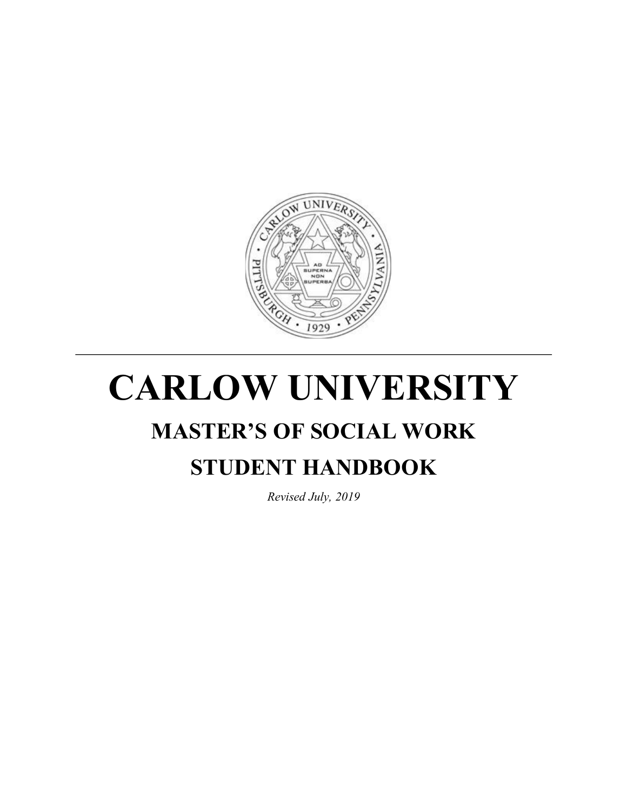

# **CARLOW UNIVERSITY MASTER'S OF SOCIAL WORK STUDENT HANDBOOK**

*Revised July, 2019*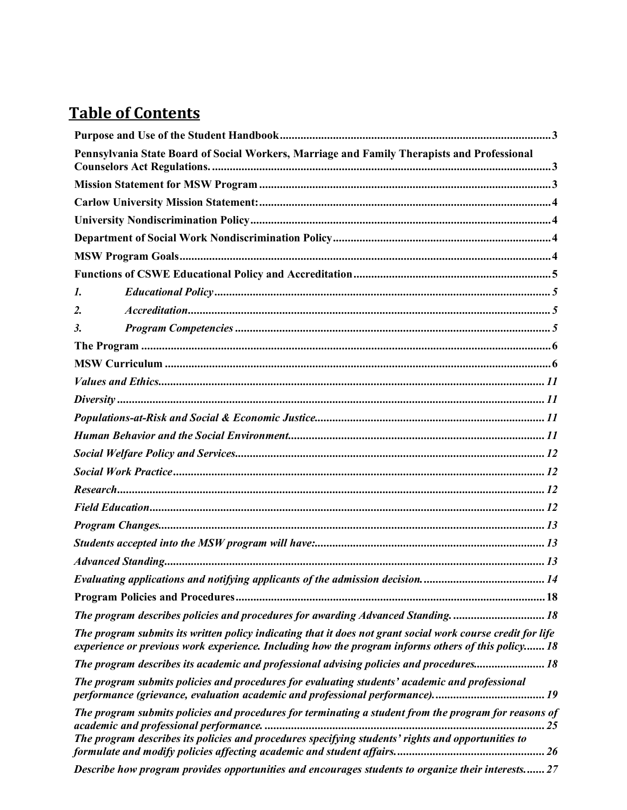# **Table of Contents**

| Pennsylvania State Board of Social Workers, Marriage and Family Therapists and Professional                                                                                                                       |  |
|-------------------------------------------------------------------------------------------------------------------------------------------------------------------------------------------------------------------|--|
|                                                                                                                                                                                                                   |  |
|                                                                                                                                                                                                                   |  |
|                                                                                                                                                                                                                   |  |
|                                                                                                                                                                                                                   |  |
|                                                                                                                                                                                                                   |  |
|                                                                                                                                                                                                                   |  |
| 1.                                                                                                                                                                                                                |  |
| $\overline{2}$ .                                                                                                                                                                                                  |  |
| 3.                                                                                                                                                                                                                |  |
|                                                                                                                                                                                                                   |  |
|                                                                                                                                                                                                                   |  |
|                                                                                                                                                                                                                   |  |
|                                                                                                                                                                                                                   |  |
|                                                                                                                                                                                                                   |  |
|                                                                                                                                                                                                                   |  |
|                                                                                                                                                                                                                   |  |
|                                                                                                                                                                                                                   |  |
|                                                                                                                                                                                                                   |  |
|                                                                                                                                                                                                                   |  |
|                                                                                                                                                                                                                   |  |
|                                                                                                                                                                                                                   |  |
|                                                                                                                                                                                                                   |  |
|                                                                                                                                                                                                                   |  |
|                                                                                                                                                                                                                   |  |
| The program describes policies and procedures for awarding Advanced Standing18                                                                                                                                    |  |
| The program submits its written policy indicating that it does not grant social work course credit for life<br>experience or previous work experience. Including how the program informs others of this policy 18 |  |
| The program describes its academic and professional advising policies and procedures 18                                                                                                                           |  |
| The program submits policies and procedures for evaluating students' academic and professional                                                                                                                    |  |
| The program submits policies and procedures for terminating a student from the program for reasons of<br>The program describes its policies and procedures specifying students' rights and opportunities to       |  |
| Describe how program provides opportunities and encourages students to organize their interests 27                                                                                                                |  |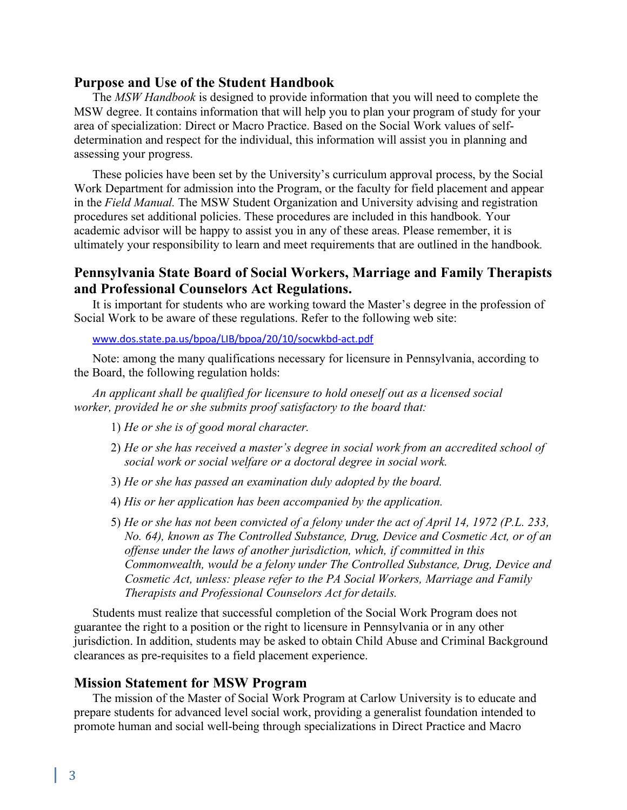## **Purpose and Use of the Student Handbook**

The *MSW Handbook* is designed to provide information that you will need to complete the MSW degree. It contains information that will help you to plan your program of study for your area of specialization: Direct or Macro Practice. Based on the Social Work values of selfdetermination and respect for the individual, this information will assist you in planning and assessing your progress.

These policies have been set by the University's curriculum approval process, by the Social Work Department for admission into the Program, or the faculty for field placement and appear in the *Field Manual.* The MSW Student Organization and University advising and registration procedures set additional policies. These procedures are included in this handbook*.* Your academic advisor will be happy to assist you in any of these areas. Please remember, it is ultimately your responsibility to learn and meet requirements that are outlined in the handbook*.*

## **Pennsylvania State Board of Social Workers, Marriage and Family Therapists and Professional Counselors Act Regulations.**

It is important for students who are working toward the Master's degree in the profession of Social Work to be aware of these regulations. Refer to the following web site:

www.dos.state.pa.us/bpoa/LIB/bpoa/20/10/socwkbd-act.pdf

Note: among the many qualifications necessary for licensure in Pennsylvania, according to the Board, the following regulation holds:

*An applicant shall be qualified for licensure to hold oneself out as a licensed social worker, provided he or she submits proof satisfactory to the board that:*

- 1) *He or she is of good moral character.*
- 2) *He or she has received a master's degree in social work from an accredited school of social work or social welfare or a doctoral degree in social work.*
- 3) *He or she has passed an examination duly adopted by the board.*
- 4) *His or her application has been accompanied by the application.*
- 5) *He or she has not been convicted of a felony under the act of April 14, 1972 (P.L. 233, No. 64), known as The Controlled Substance, Drug, Device and Cosmetic Act, or of an offense under the laws of another jurisdiction, which, if committed in this Commonwealth, would be a felony under The Controlled Substance, Drug, Device and Cosmetic Act, unless: please refer to the PA Social Workers, Marriage and Family Therapists and Professional Counselors Act for details.*

Students must realize that successful completion of the Social Work Program does not guarantee the right to a position or the right to licensure in Pennsylvania or in any other jurisdiction. In addition, students may be asked to obtain Child Abuse and Criminal Background clearances as pre-requisites to a field placement experience.

## **Mission Statement for MSW Program**

The mission of the Master of Social Work Program at Carlow University is to educate and prepare students for advanced level social work, providing a generalist foundation intended to promote human and social well-being through specializations in Direct Practice and Macro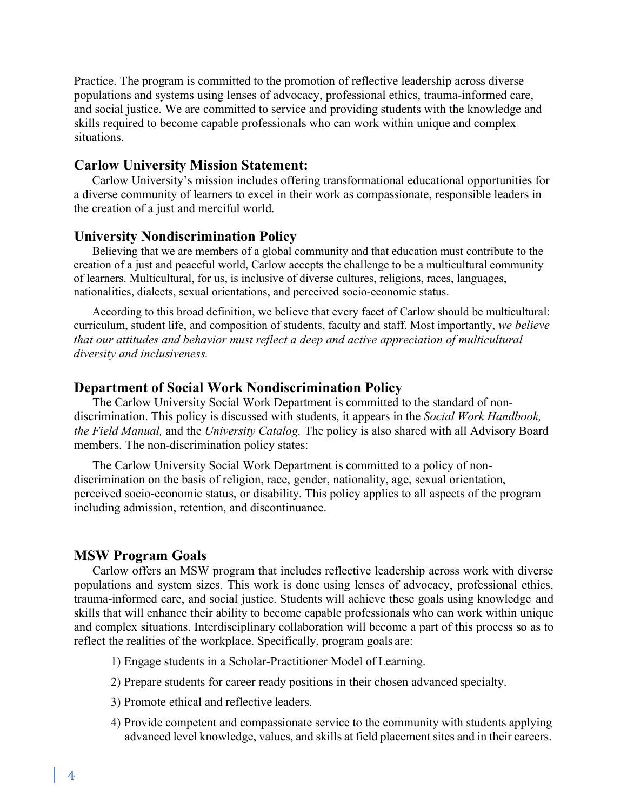Practice. The program is committed to the promotion of reflective leadership across diverse populations and systems using lenses of advocacy, professional ethics, trauma-informed care, and social justice. We are committed to service and providing students with the knowledge and skills required to become capable professionals who can work within unique and complex situations.

## **Carlow University Mission Statement:**

Carlow University's mission includes offering transformational educational opportunities for a diverse community of learners to excel in their work as compassionate, responsible leaders in the creation of a just and merciful world.

#### **University Nondiscrimination Policy**

Believing that we are members of a global community and that education must contribute to the creation of a just and peaceful world, Carlow accepts the challenge to be a multicultural community of learners. Multicultural, for us, is inclusive of diverse cultures, religions, races, languages, nationalities, dialects, sexual orientations, and perceived socio-economic status.

According to this broad definition, we believe that every facet of Carlow should be multicultural: curriculum, student life, and composition of students, faculty and staff. Most importantly, *we believe that our attitudes and behavior must reflect a deep and active appreciation of multicultural diversity and inclusiveness.*

## **Department of Social Work Nondiscrimination Policy**

The Carlow University Social Work Department is committed to the standard of nondiscrimination. This policy is discussed with students, it appears in the *Social Work Handbook, the Field Manual,* and the *University Catalog.* The policy is also shared with all Advisory Board members. The non-discrimination policy states:

The Carlow University Social Work Department is committed to a policy of nondiscrimination on the basis of religion, race, gender, nationality, age, sexual orientation, perceived socio-economic status, or disability. This policy applies to all aspects of the program including admission, retention, and discontinuance.

#### **MSW Program Goals**

Carlow offers an MSW program that includes reflective leadership across work with diverse populations and system sizes. This work is done using lenses of advocacy, professional ethics, trauma-informed care, and social justice. Students will achieve these goals using knowledge and skills that will enhance their ability to become capable professionals who can work within unique and complex situations. Interdisciplinary collaboration will become a part of this process so as to reflect the realities of the workplace. Specifically, program goals are:

- 1) Engage students in a Scholar-Practitioner Model of Learning.
- 2) Prepare students for career ready positions in their chosen advanced specialty.
- 3) Promote ethical and reflective leaders.
- 4) Provide competent and compassionate service to the community with students applying advanced level knowledge, values, and skills at field placement sites and in their careers.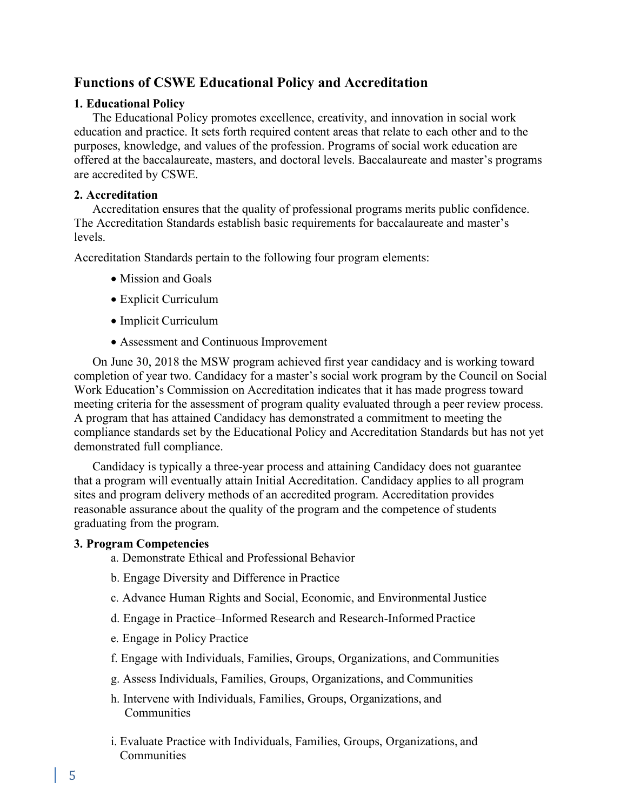## **Functions of CSWE Educational Policy and Accreditation**

## **1. Educational Policy**

The Educational Policy promotes excellence, creativity, and innovation in social work education and practice. It sets forth required content areas that relate to each other and to the purposes, knowledge, and values of the profession. Programs of social work education are offered at the baccalaureate, masters, and doctoral levels. Baccalaureate and master's programs are accredited by CSWE.

## **2. Accreditation**

Accreditation ensures that the quality of professional programs merits public confidence. The Accreditation Standards establish basic requirements for baccalaureate and master's levels.

Accreditation Standards pertain to the following four program elements:

- Mission and Goals
- Explicit Curriculum
- Implicit Curriculum
- Assessment and Continuous Improvement

On June 30, 2018 the MSW program achieved first year candidacy and is working toward completion of year two. Candidacy for a master's social work program by the Council on Social Work Education's Commission on Accreditation indicates that it has made progress toward meeting criteria for the assessment of program quality evaluated through a peer review process. A program that has attained Candidacy has demonstrated a commitment to meeting the compliance standards set by the Educational Policy and Accreditation Standards but has not yet demonstrated full compliance.

Candidacy is typically a three-year process and attaining Candidacy does not guarantee that a program will eventually attain Initial Accreditation. Candidacy applies to all program sites and program delivery methods of an accredited program. Accreditation provides reasonable assurance about the quality of the program and the competence of students graduating from the program.

## **3. Program Competencies**

- a. Demonstrate Ethical and Professional Behavior
- b. Engage Diversity and Difference in Practice
- c. Advance Human Rights and Social, Economic, and Environmental Justice
- d. Engage in Practice–Informed Research and Research-Informed Practice
- e. Engage in Policy Practice
- f. Engage with Individuals, Families, Groups, Organizations, and Communities
- g. Assess Individuals, Families, Groups, Organizations, and Communities
- h. Intervene with Individuals, Families, Groups, Organizations, and **Communities**
- i. Evaluate Practice with Individuals, Families, Groups, Organizations, and **Communities**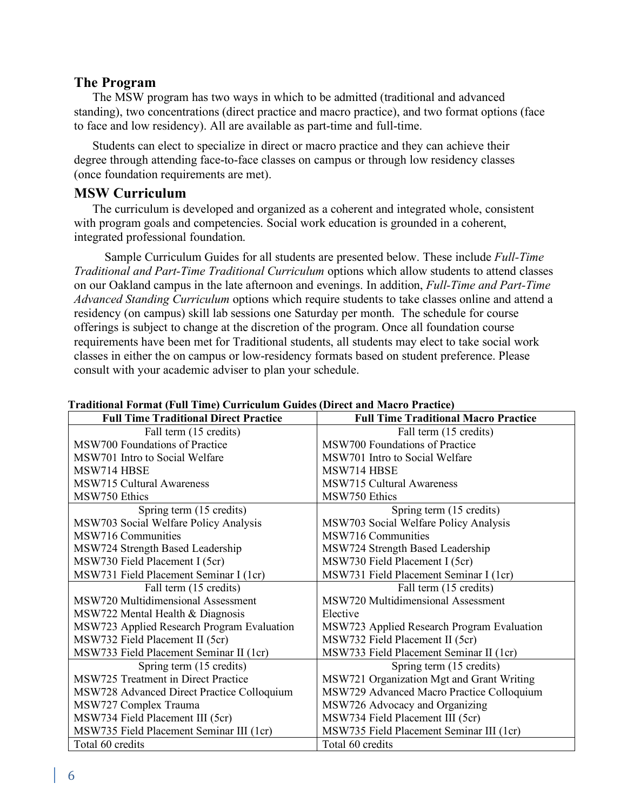## **The Program**

The MSW program has two ways in which to be admitted (traditional and advanced standing), two concentrations (direct practice and macro practice), and two format options (face to face and low residency). All are available as part-time and full-time.

Students can elect to specialize in direct or macro practice and they can achieve their degree through attending face-to-face classes on campus or through low residency classes (once foundation requirements are met).

## **MSW Curriculum**

The curriculum is developed and organized as a coherent and integrated whole, consistent with program goals and competencies. Social work education is grounded in a coherent, integrated professional foundation.

Sample Curriculum Guides for all students are presented below. These include *Full-Time Traditional and Part-Time Traditional Curriculum* options which allow students to attend classes on our Oakland campus in the late afternoon and evenings. In addition, *Full-Time and Part-Time Advanced Standing Curriculum* options which require students to take classes online and attend a residency (on campus) skill lab sessions one Saturday per month. The schedule for course offerings is subject to change at the discretion of the program. Once all foundation course requirements have been met for Traditional students, all students may elect to take social work classes in either the on campus or low-residency formats based on student preference. Please consult with your academic adviser to plan your schedule.

| <b>Full Time Traditional Direct Practice</b>                                             | <b>Full Time Traditional Macro Practice</b> |  |
|------------------------------------------------------------------------------------------|---------------------------------------------|--|
| Fall term (15 credits)                                                                   | Fall term (15 credits)                      |  |
| MSW700 Foundations of Practice                                                           | MSW700 Foundations of Practice              |  |
| MSW701 Intro to Social Welfare                                                           | MSW701 Intro to Social Welfare              |  |
| MSW714 HBSE                                                                              | MSW714 HBSE                                 |  |
| <b>MSW715 Cultural Awareness</b>                                                         | <b>MSW715 Cultural Awareness</b>            |  |
| MSW750 Ethics                                                                            | MSW750 Ethics                               |  |
| Spring term (15 credits)                                                                 | Spring term (15 credits)                    |  |
| MSW703 Social Welfare Policy Analysis                                                    | MSW703 Social Welfare Policy Analysis       |  |
| MSW716 Communities                                                                       | MSW716 Communities                          |  |
| MSW724 Strength Based Leadership<br>MSW724 Strength Based Leadership                     |                                             |  |
| MSW730 Field Placement I (5cr)                                                           | MSW730 Field Placement I (5cr)              |  |
| MSW731 Field Placement Seminar I (1cr)                                                   | MSW731 Field Placement Seminar I (1cr)      |  |
| Fall term (15 credits)                                                                   | Fall term (15 credits)                      |  |
| MSW720 Multidimensional Assessment                                                       | MSW720 Multidimensional Assessment          |  |
| MSW722 Mental Health & Diagnosis                                                         | Elective                                    |  |
| MSW723 Applied Research Program Evaluation<br>MSW723 Applied Research Program Evaluation |                                             |  |
| MSW732 Field Placement II (5cr)                                                          | MSW732 Field Placement II (5cr)             |  |
| MSW733 Field Placement Seminar II (1cr)<br>MSW733 Field Placement Seminar II (1cr)       |                                             |  |
| Spring term (15 credits)                                                                 | Spring term (15 credits)                    |  |
| MSW725 Treatment in Direct Practice                                                      | MSW721 Organization Mgt and Grant Writing   |  |
| MSW728 Advanced Direct Practice Colloquium                                               | MSW729 Advanced Macro Practice Colloquium   |  |
| MSW727 Complex Trauma<br>MSW726 Advocacy and Organizing                                  |                                             |  |
| MSW734 Field Placement III (5cr)                                                         | MSW734 Field Placement III (5cr)            |  |
| MSW735 Field Placement Seminar III (1cr)                                                 | MSW735 Field Placement Seminar III (1cr)    |  |
| Total 60 credits                                                                         | Total 60 credits                            |  |

#### **Traditional Format (Full Time) Curriculum Guides (Direct and Macro Practice)**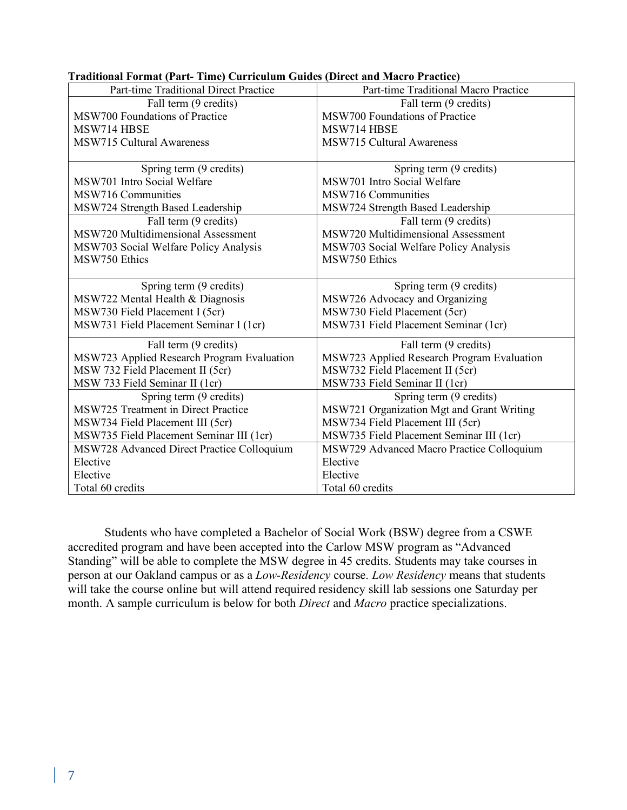| ITAURUMAI POLINAC (FALU-TTING) CULTICURIN GUIUCS (DIFECE ANU MACI 0 TTACHCG)  |                                            |  |  |  |
|-------------------------------------------------------------------------------|--------------------------------------------|--|--|--|
| Part-time Traditional Direct Practice<br>Part-time Traditional Macro Practice |                                            |  |  |  |
| Fall term (9 credits)                                                         | Fall term (9 credits)                      |  |  |  |
| MSW700 Foundations of Practice                                                | MSW700 Foundations of Practice             |  |  |  |
| MSW714 HBSE                                                                   | MSW714 HBSE                                |  |  |  |
| MSW715 Cultural Awareness                                                     | <b>MSW715 Cultural Awareness</b>           |  |  |  |
|                                                                               |                                            |  |  |  |
| Spring term (9 credits)                                                       | Spring term (9 credits)                    |  |  |  |
| MSW701 Intro Social Welfare                                                   | MSW701 Intro Social Welfare                |  |  |  |
| MSW716 Communities                                                            | MSW716 Communities                         |  |  |  |
| MSW724 Strength Based Leadership                                              | MSW724 Strength Based Leadership           |  |  |  |
| Fall term (9 credits)                                                         | Fall term (9 credits)                      |  |  |  |
| MSW720 Multidimensional Assessment                                            | MSW720 Multidimensional Assessment         |  |  |  |
| MSW703 Social Welfare Policy Analysis                                         | MSW703 Social Welfare Policy Analysis      |  |  |  |
| MSW750 Ethics                                                                 | MSW750 Ethics                              |  |  |  |
|                                                                               |                                            |  |  |  |
| Spring term (9 credits)                                                       | Spring term (9 credits)                    |  |  |  |
| MSW722 Mental Health & Diagnosis                                              | MSW726 Advocacy and Organizing             |  |  |  |
| MSW730 Field Placement I (5cr)                                                | MSW730 Field Placement (5cr)               |  |  |  |
| MSW731 Field Placement Seminar I (1cr)                                        | MSW731 Field Placement Seminar (1cr)       |  |  |  |
|                                                                               |                                            |  |  |  |
| Fall term (9 credits)                                                         | Fall term (9 credits)                      |  |  |  |
| MSW723 Applied Research Program Evaluation                                    | MSW723 Applied Research Program Evaluation |  |  |  |
| MSW 732 Field Placement II (5cr)                                              | MSW732 Field Placement II (5cr)            |  |  |  |
| MSW 733 Field Seminar II (1cr)                                                | MSW733 Field Seminar II (1cr)              |  |  |  |
| Spring term (9 credits)                                                       | Spring term (9 credits)                    |  |  |  |
| MSW725 Treatment in Direct Practice                                           | MSW721 Organization Mgt and Grant Writing  |  |  |  |
| MSW734 Field Placement III (5cr)                                              | MSW734 Field Placement III (5cr)           |  |  |  |
| MSW735 Field Placement Seminar III (1cr)                                      | MSW735 Field Placement Seminar III (1cr)   |  |  |  |
| MSW728 Advanced Direct Practice Colloquium                                    | MSW729 Advanced Macro Practice Colloquium  |  |  |  |
| Elective                                                                      | Elective                                   |  |  |  |
| Elective                                                                      | Elective                                   |  |  |  |
| Total 60 credits                                                              | Total 60 credits                           |  |  |  |

#### **Traditional Format (Part- Time) Curriculum Guides (Direct and Macro Practice)**

Students who have completed a Bachelor of Social Work (BSW) degree from a CSWE accredited program and have been accepted into the Carlow MSW program as "Advanced Standing" will be able to complete the MSW degree in 45 credits. Students may take courses in person at our Oakland campus or as a *Low-Residency* course. *Low Residency* means that students will take the course online but will attend required residency skill lab sessions one Saturday per month. A sample curriculum is below for both *Direct* and *Macro* practice specializations.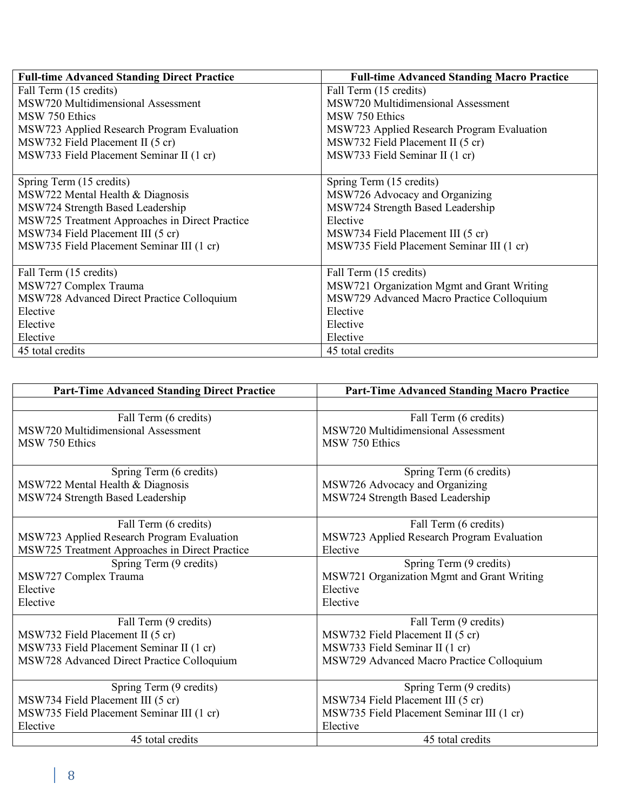| <b>Full-time Advanced Standing Direct Practice</b> | <b>Full-time Advanced Standing Macro Practice</b> |
|----------------------------------------------------|---------------------------------------------------|
| Fall Term (15 credits)                             | Fall Term (15 credits)                            |
| MSW720 Multidimensional Assessment                 | MSW720 Multidimensional Assessment                |
| MSW 750 Ethics                                     | MSW 750 Ethics                                    |
| MSW723 Applied Research Program Evaluation         | MSW723 Applied Research Program Evaluation        |
| MSW732 Field Placement II (5 cr)                   | MSW732 Field Placement II (5 cr)                  |
| MSW733 Field Placement Seminar II (1 cr)           | MSW733 Field Seminar II (1 cr)                    |
|                                                    |                                                   |
| Spring Term (15 credits)                           | Spring Term (15 credits)                          |
| MSW722 Mental Health & Diagnosis                   | MSW726 Advocacy and Organizing                    |
| MSW724 Strength Based Leadership                   | MSW724 Strength Based Leadership                  |
| MSW725 Treatment Approaches in Direct Practice     | Elective                                          |
| MSW734 Field Placement III (5 cr)                  | MSW734 Field Placement III (5 cr)                 |
| MSW735 Field Placement Seminar III (1 cr)          | MSW735 Field Placement Seminar III (1 cr)         |
|                                                    |                                                   |
| Fall Term (15 credits)                             | Fall Term (15 credits)                            |
| MSW727 Complex Trauma                              | MSW721 Organization Mgmt and Grant Writing        |
| MSW728 Advanced Direct Practice Colloquium         | MSW729 Advanced Macro Practice Colloquium         |
| Elective                                           | Elective                                          |
| Elective                                           | Elective                                          |
| Elective                                           | Elective                                          |
| 45 total credits                                   | 45 total credits                                  |

| <b>Part-Time Advanced Standing Direct Practice</b>         | <b>Part-Time Advanced Standing Macro Practice</b> |  |
|------------------------------------------------------------|---------------------------------------------------|--|
|                                                            |                                                   |  |
| Fall Term (6 credits)                                      | Fall Term (6 credits)                             |  |
| MSW720 Multidimensional Assessment                         | MSW720 Multidimensional Assessment                |  |
| MSW 750 Ethics                                             | MSW 750 Ethics                                    |  |
|                                                            |                                                   |  |
| Spring Term (6 credits)                                    | Spring Term (6 credits)                           |  |
| MSW722 Mental Health & Diagnosis                           | MSW726 Advocacy and Organizing                    |  |
| MSW724 Strength Based Leadership                           | MSW724 Strength Based Leadership                  |  |
|                                                            |                                                   |  |
| Fall Term (6 credits)                                      | Fall Term (6 credits)                             |  |
| MSW723 Applied Research Program Evaluation                 | MSW723 Applied Research Program Evaluation        |  |
| MSW725 Treatment Approaches in Direct Practice<br>Elective |                                                   |  |
| Spring Term (9 credits)                                    | Spring Term (9 credits)                           |  |
| MSW727 Complex Trauma                                      | MSW721 Organization Mgmt and Grant Writing        |  |
| Elective                                                   | Elective                                          |  |
| Elective                                                   | Elective                                          |  |
| Fall Term (9 credits)                                      | Fall Term (9 credits)                             |  |
| MSW732 Field Placement II (5 cr)                           | MSW732 Field Placement II (5 cr)                  |  |
| MSW733 Field Placement Seminar II (1 cr)                   | MSW733 Field Seminar II (1 cr)                    |  |
| MSW728 Advanced Direct Practice Colloquium                 | MSW729 Advanced Macro Practice Colloquium         |  |
|                                                            |                                                   |  |
| Spring Term (9 credits)                                    | Spring Term (9 credits)                           |  |
| MSW734 Field Placement III (5 cr)                          | MSW734 Field Placement III (5 cr)                 |  |
| MSW735 Field Placement Seminar III (1 cr)                  | MSW735 Field Placement Seminar III (1 cr)         |  |
| Elective                                                   | Elective                                          |  |
| 45 total credits                                           | 45 total credits                                  |  |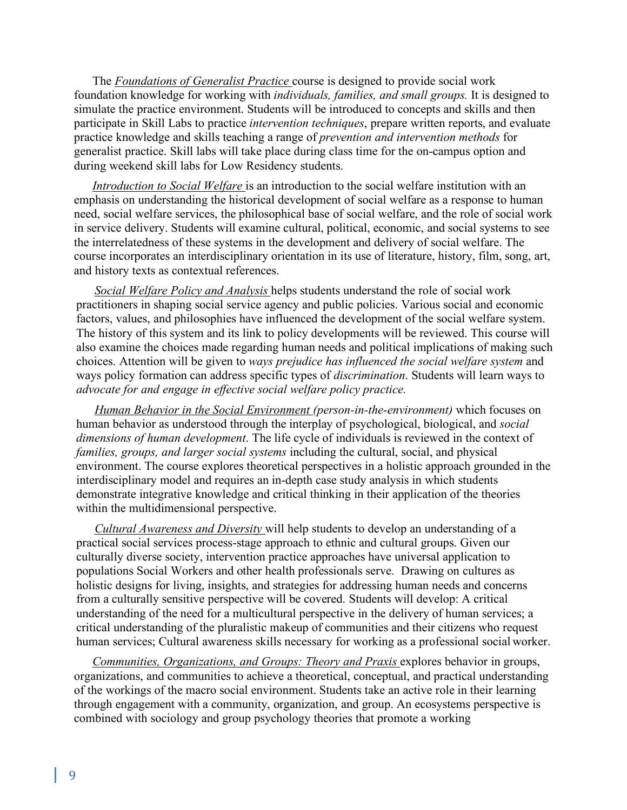The *Foundations of Generalist Practice* course is designed to provide social work foundation knowledge for working with *individuals, families, and small groups.* It is designed to simulate the practice environment. Students will be introduced to concepts and skills and then participate in Skill Labs to practice *intervention techniques*, prepare written reports, and evaluate practice knowledge and skills teaching a range of *prevention and intervention methods* for generalist practice. Skill labs will take place during class time for the on-campus option and during weekend skill labs for Low Residency students.

*Introduction to Social Welfare* is an introduction to the social welfare institution with an emphasis on understanding the historical development of social welfare as a response to human need, social welfare services, the philosophical base of social welfare, and the role of social work in service delivery. Students will examine cultural, political, economic, and social systems to see the interrelatedness of these systems in the development and delivery of social welfare. The course incorporates an interdisciplinary orientation in its use of literature, history, film, song, art, and history texts as contextual references.

*Social Welfare Policy and Analysis* helps students understand the role of social work practitioners in shaping social service agency and public policies. Various social and economic factors, values, and philosophies have influenced the development of the social welfare system. The history of this system and its link to policy developments will be reviewed. This course will also examine the choices made regarding human needs and political implications of making such choices. Attention will be given to *ways prejudice has influenced the social welfare system* and ways policy formation can address specific types of *discrimination*. Students will learn ways to *advocate for and engage in effective social welfare policy practice.*

*Human Behavior in the Social Environment (person-in-the-environment)* which focuses on human behavior as understood through the interplay of psychological, biological, and *social dimensions of human development*. The life cycle of individuals is reviewed in the context of *families, groups, and larger social systems* including the cultural, social, and physical environment. The course explores theoretical perspectives in a holistic approach grounded in the interdisciplinary model and requires an in-depth case study analysis in which students demonstrate integrative knowledge and critical thinking in their application of the theories within the multidimensional perspective.

*Cultural Awareness and Diversity* will help students to develop an understanding of a practical social services process-stage approach to ethnic and cultural groups. Given our culturally diverse society, intervention practice approaches have universal application to populations Social Workers and other health professionals serve. Drawing on cultures as holistic designs for living, insights, and strategies for addressing human needs and concerns from a culturally sensitive perspective will be covered. Students will develop: A critical understanding of the need for a multicultural perspective in the delivery of human services; a critical understanding of the pluralistic makeup of communities and their citizens who request human services; Cultural awareness skills necessary for working as a professional social worker.

*Communities, Organizations, and Groups: Theory and Praxis explores behavior in groups,* organizations, and communities to achieve a theoretical, conceptual, and practical understanding of the workings of the macro social environment. Students take an active role in their learning through engagement with a community, organization, and group. An ecosystems perspective is combined with sociology and group psychology theories that promote a working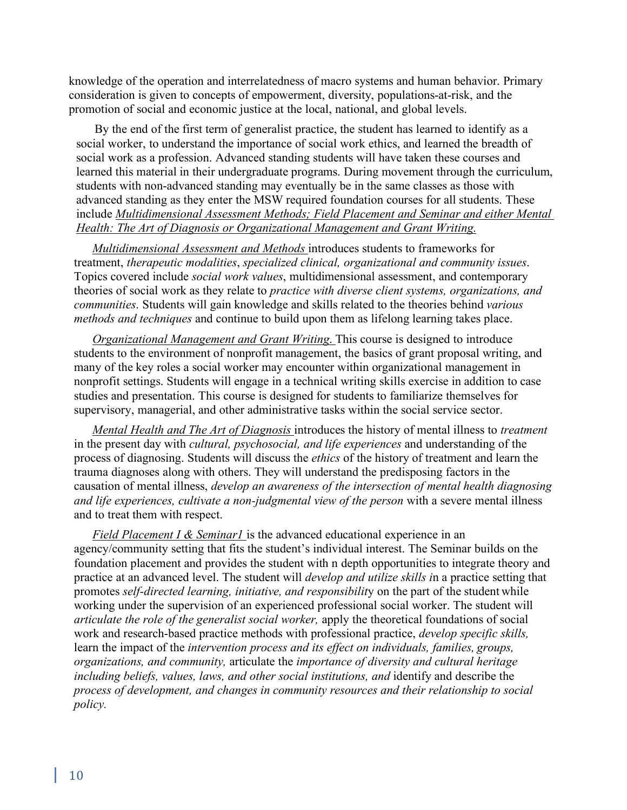knowledge of the operation and interrelatedness of macro systems and human behavior. Primary consideration is given to concepts of empowerment, diversity, populations-at-risk, and the promotion of social and economic justice at the local, national, and global levels.

By the end of the first term of generalist practice, the student has learned to identify as a social worker, to understand the importance of social work ethics, and learned the breadth of social work as a profession. Advanced standing students will have taken these courses and learned this material in their undergraduate programs. During movement through the curriculum, students with non-advanced standing may eventually be in the same classes as those with advanced standing as they enter the MSW required foundation courses for all students. These include *Multidimensional Assessment Methods; Field Placement and Seminar and either Mental Health: The Art of Diagnosis or Organizational Management and Grant Writing.*

*Multidimensional Assessment and Methods* introduces students to frameworks for treatment, *therapeutic modalities*, *specialized clinical, organizational and community issues*. Topics covered include *social work values*, multidimensional assessment, and contemporary theories of social work as they relate to *practice with diverse client systems, organizations, and communities*. Students will gain knowledge and skills related to the theories behind *various methods and techniques* and continue to build upon them as lifelong learning takes place.

*Organizational Management and Grant Writing*. This course is designed to introduce students to the environment of nonprofit management, the basics of grant proposal writing, and many of the key roles a social worker may encounter within organizational management in nonprofit settings. Students will engage in a technical writing skills exercise in addition to case studies and presentation. This course is designed for students to familiarize themselves for supervisory, managerial, and other administrative tasks within the social service sector.

*Mental Health and The Art of Diagnosis* introduces the history of mental illness to *treatment*  in the present day with *cultural, psychosocial, and life experiences* and understanding of the process of diagnosing. Students will discuss the *ethics* of the history of treatment and learn the trauma diagnoses along with others. They will understand the predisposing factors in the causation of mental illness, *develop an awareness of the intersection of mental health diagnosing and life experiences, cultivate a non-judgmental view of the person* with a severe mental illness and to treat them with respect.

*Field Placement I & Seminar1* is the advanced educational experience in an agency/community setting that fits the student's individual interest. The Seminar builds on the foundation placement and provides the student with n depth opportunities to integrate theory and practice at an advanced level. The student will *develop and utilize skills i*n a practice setting that promotes *self-directed learning, initiative, and responsibilit*y on the part of the student while working under the supervision of an experienced professional social worker. The student will *articulate the role of the generalist social worker,* apply the theoretical foundations of social work and research-based practice methods with professional practice, *develop specific skills,*  learn the impact of the *intervention process and its effect on individuals, families, groups, organizations, and community,* articulate the *importance of diversity and cultural heritage*  including beliefs, values, laws, and other social institutions, and identify and describe the *process of development, and changes in community resources and their relationship to social policy.*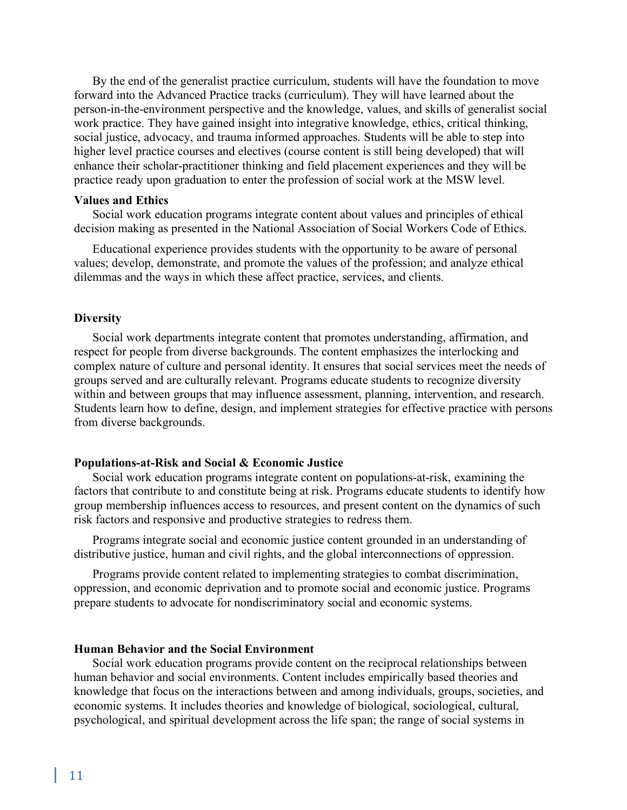By the end of the generalist practice curriculum, students will have the foundation to move forward into the Advanced Practice tracks (curriculum). They will have learned about the person-in-the-environment perspective and the knowledge, values, and skills of generalist social work practice. They have gained insight into integrative knowledge, ethics, critical thinking, social justice, advocacy, and trauma informed approaches. Students will be able to step into higher level practice courses and electives (course content is still being developed) that will enhance their scholar-practitioner thinking and field placement experiences and they will be practice ready upon graduation to enter the profession of social work at the MSW level.

#### **Values and Ethics**

Social work education programs integrate content about values and principles of ethical decision making as presented in the National Association of Social Workers Code of Ethics.

Educational experience provides students with the opportunity to be aware of personal values; develop, demonstrate, and promote the values of the profession; and analyze ethical dilemmas and the ways in which these affect practice, services, and clients.

#### **Diversity**

Social work departments integrate content that promotes understanding, affirmation, and respect for people from diverse backgrounds. The content emphasizes the interlocking and complex nature of culture and personal identity. It ensures that social services meet the needs of groups served and are culturally relevant. Programs educate students to recognize diversity within and between groups that may influence assessment, planning, intervention, and research. Students learn how to define, design, and implement strategies for effective practice with persons from diverse backgrounds.

#### **Populations-at-Risk and Social & Economic Justice**

Social work education programs integrate content on populations-at-risk, examining the factors that contribute to and constitute being at risk. Programs educate students to identify how group membership influences access to resources, and present content on the dynamics of such risk factors and responsive and productive strategies to redress them.

Programs integrate social and economic justice content grounded in an understanding of distributive justice, human and civil rights, and the global interconnections of oppression.

Programs provide content related to implementing strategies to combat discrimination, oppression, and economic deprivation and to promote social and economic justice. Programs prepare students to advocate for nondiscriminatory social and economic systems.

#### **Human Behavior and the Social Environment**

Social work education programs provide content on the reciprocal relationships between human behavior and social environments. Content includes empirically based theories and knowledge that focus on the interactions between and among individuals, groups, societies, and economic systems. It includes theories and knowledge of biological, sociological, cultural, psychological, and spiritual development across the life span; the range of social systems in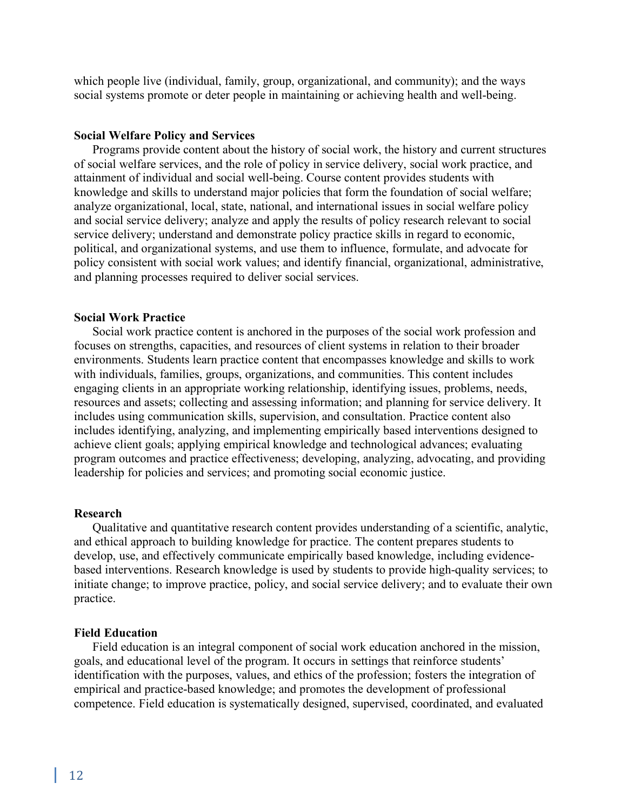which people live (individual, family, group, organizational, and community); and the ways social systems promote or deter people in maintaining or achieving health and well-being.

#### **Social Welfare Policy and Services**

Programs provide content about the history of social work, the history and current structures of social welfare services, and the role of policy in service delivery, social work practice, and attainment of individual and social well-being. Course content provides students with knowledge and skills to understand major policies that form the foundation of social welfare; analyze organizational, local, state, national, and international issues in social welfare policy and social service delivery; analyze and apply the results of policy research relevant to social service delivery; understand and demonstrate policy practice skills in regard to economic, political, and organizational systems, and use them to influence, formulate, and advocate for policy consistent with social work values; and identify financial, organizational, administrative, and planning processes required to deliver social services.

#### **Social Work Practice**

Social work practice content is anchored in the purposes of the social work profession and focuses on strengths, capacities, and resources of client systems in relation to their broader environments. Students learn practice content that encompasses knowledge and skills to work with individuals, families, groups, organizations, and communities. This content includes engaging clients in an appropriate working relationship, identifying issues, problems, needs, resources and assets; collecting and assessing information; and planning for service delivery. It includes using communication skills, supervision, and consultation. Practice content also includes identifying, analyzing, and implementing empirically based interventions designed to achieve client goals; applying empirical knowledge and technological advances; evaluating program outcomes and practice effectiveness; developing, analyzing, advocating, and providing leadership for policies and services; and promoting social economic justice.

#### **Research**

Qualitative and quantitative research content provides understanding of a scientific, analytic, and ethical approach to building knowledge for practice. The content prepares students to develop, use, and effectively communicate empirically based knowledge, including evidencebased interventions. Research knowledge is used by students to provide high-quality services; to initiate change; to improve practice, policy, and social service delivery; and to evaluate their own practice.

#### **Field Education**

Field education is an integral component of social work education anchored in the mission, goals, and educational level of the program. It occurs in settings that reinforce students' identification with the purposes, values, and ethics of the profession; fosters the integration of empirical and practice-based knowledge; and promotes the development of professional competence. Field education is systematically designed, supervised, coordinated, and evaluated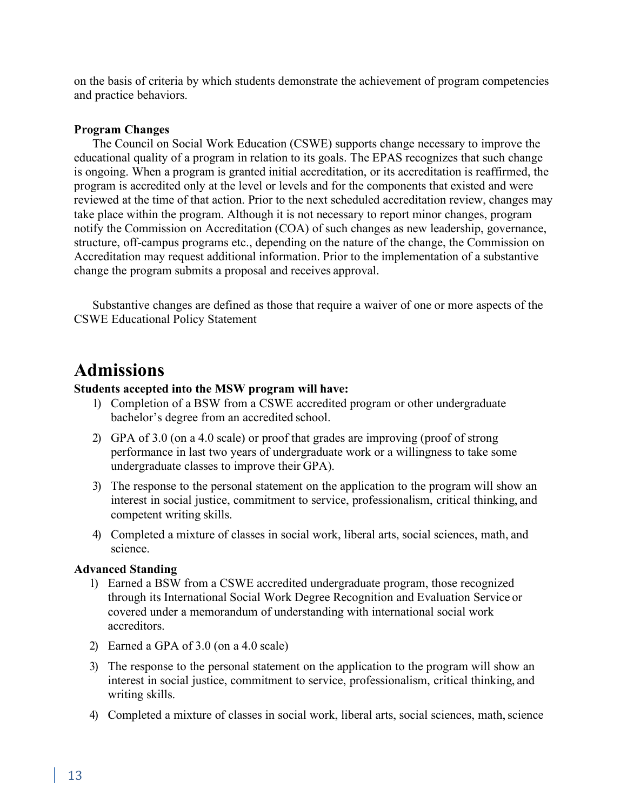on the basis of criteria by which students demonstrate the achievement of program competencies and practice behaviors.

## **Program Changes**

The Council on Social Work Education (CSWE) supports change necessary to improve the educational quality of a program in relation to its goals. The EPAS recognizes that such change is ongoing. When a program is granted initial accreditation, or its accreditation is reaffirmed, the program is accredited only at the level or levels and for the components that existed and were reviewed at the time of that action. Prior to the next scheduled accreditation review, changes may take place within the program. Although it is not necessary to report minor changes, program notify the Commission on Accreditation (COA) of such changes as new leadership, governance, structure, off-campus programs etc., depending on the nature of the change, the Commission on Accreditation may request additional information. Prior to the implementation of a substantive change the program submits a proposal and receives approval.

Substantive changes are defined as those that require a waiver of one or more aspects of the CSWE Educational Policy Statement

# **Admissions**

## **Students accepted into the MSW program will have:**

- 1) Completion of a BSW from a CSWE accredited program or other undergraduate bachelor's degree from an accredited school.
- 2) GPA of 3.0 (on a 4.0 scale) or proof that grades are improving (proof of strong performance in last two years of undergraduate work or a willingness to take some undergraduate classes to improve their GPA).
- 3) The response to the personal statement on the application to the program will show an interest in social justice, commitment to service, professionalism, critical thinking, and competent writing skills.
- 4) Completed a mixture of classes in social work, liberal arts, social sciences, math, and science.

## **Advanced Standing**

- 1) Earned a BSW from a CSWE accredited undergraduate program, those recognized through its International Social Work Degree Recognition and Evaluation Service or covered under a memorandum of understanding with international social work accreditors.
- 2) Earned a GPA of 3.0 (on a 4.0 scale)
- 3) The response to the personal statement on the application to the program will show an interest in social justice, commitment to service, professionalism, critical thinking, and writing skills.
- 4) Completed a mixture of classes in social work, liberal arts, social sciences, math, science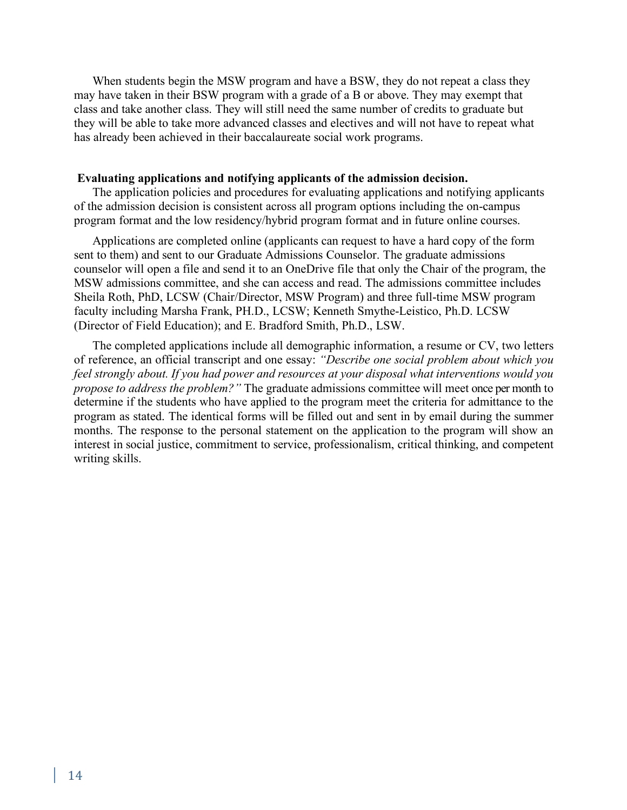When students begin the MSW program and have a BSW, they do not repeat a class they may have taken in their BSW program with a grade of a B or above. They may exempt that class and take another class. They will still need the same number of credits to graduate but they will be able to take more advanced classes and electives and will not have to repeat what has already been achieved in their baccalaureate social work programs.

#### **Evaluating applications and notifying applicants of the admission decision.**

The application policies and procedures for evaluating applications and notifying applicants of the admission decision is consistent across all program options including the on-campus program format and the low residency/hybrid program format and in future online courses.

Applications are completed online (applicants can request to have a hard copy of the form sent to them) and sent to our Graduate Admissions Counselor. The graduate admissions counselor will open a file and send it to an OneDrive file that only the Chair of the program, the MSW admissions committee, and she can access and read. The admissions committee includes Sheila Roth, PhD, LCSW (Chair/Director, MSW Program) and three full-time MSW program faculty including Marsha Frank, PH.D., LCSW; Kenneth Smythe-Leistico, Ph.D. LCSW (Director of Field Education); and E. Bradford Smith, Ph.D., LSW.

The completed applications include all demographic information, a resume or CV, two letters of reference, an official transcript and one essay: *"Describe one social problem about which you feel strongly about. If you had power and resources at your disposal what interventions would you propose to address the problem?"* The graduate admissions committee will meet once per month to determine if the students who have applied to the program meet the criteria for admittance to the program as stated. The identical forms will be filled out and sent in by email during the summer months. The response to the personal statement on the application to the program will show an interest in social justice, commitment to service, professionalism, critical thinking, and competent writing skills.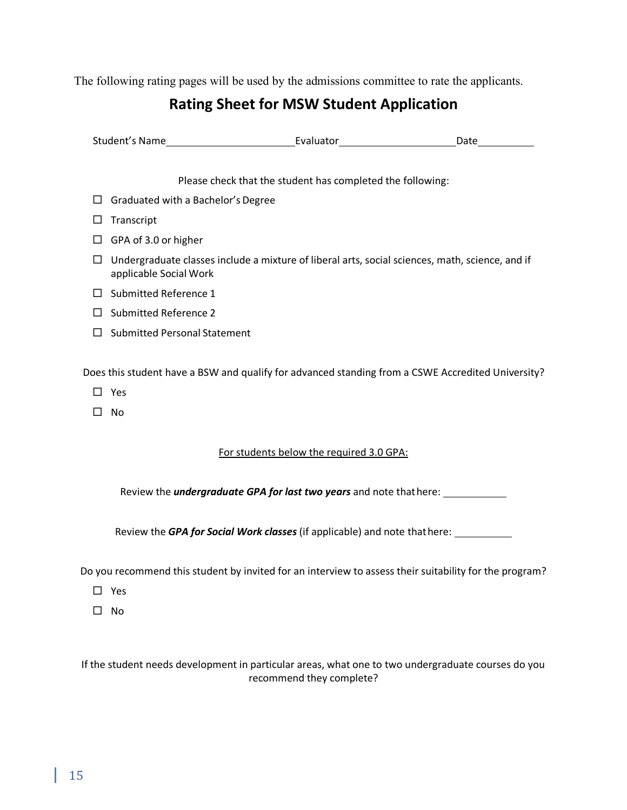The following rating pages will be used by the admissions committee to rate the applicants.

## **Rating Sheet for MSW Student Application**

|        |                                     |                                                                                                   | Date and the set of the set of the set of the set of the set of the set of the set of the set of the set of th |
|--------|-------------------------------------|---------------------------------------------------------------------------------------------------|----------------------------------------------------------------------------------------------------------------|
|        |                                     | Please check that the student has completed the following:                                        |                                                                                                                |
| $\Box$ | Graduated with a Bachelor's Degree  |                                                                                                   |                                                                                                                |
| $\Box$ | Transcript                          |                                                                                                   |                                                                                                                |
| □      | GPA of 3.0 or higher                |                                                                                                   |                                                                                                                |
| □      | applicable Social Work              | Undergraduate classes include a mixture of liberal arts, social sciences, math, science, and if   |                                                                                                                |
|        | Submitted Reference 1               |                                                                                                   |                                                                                                                |
| $\Box$ | <b>Submitted Reference 2</b>        |                                                                                                   |                                                                                                                |
|        | <b>Submitted Personal Statement</b> |                                                                                                   |                                                                                                                |
|        |                                     | Does this student have a BSW and qualify for advanced standing from a CSWE Accredited University? |                                                                                                                |
|        | $\Box$ Yes                          |                                                                                                   |                                                                                                                |
|        | No                                  |                                                                                                   |                                                                                                                |
|        |                                     | For students below the required 3.0 GPA:                                                          |                                                                                                                |
|        |                                     | Review the <i>undergraduate GPA for last two years</i> and note that here:                        |                                                                                                                |

Review the *GPA for Social Work classes* (if applicable) and note thathere:

Do you recommend this student by invited for an interview to assess their suitability for the program?

- □ Yes
- $\square$  No

If the student needs development in particular areas, what one to two undergraduate courses do you recommend they complete?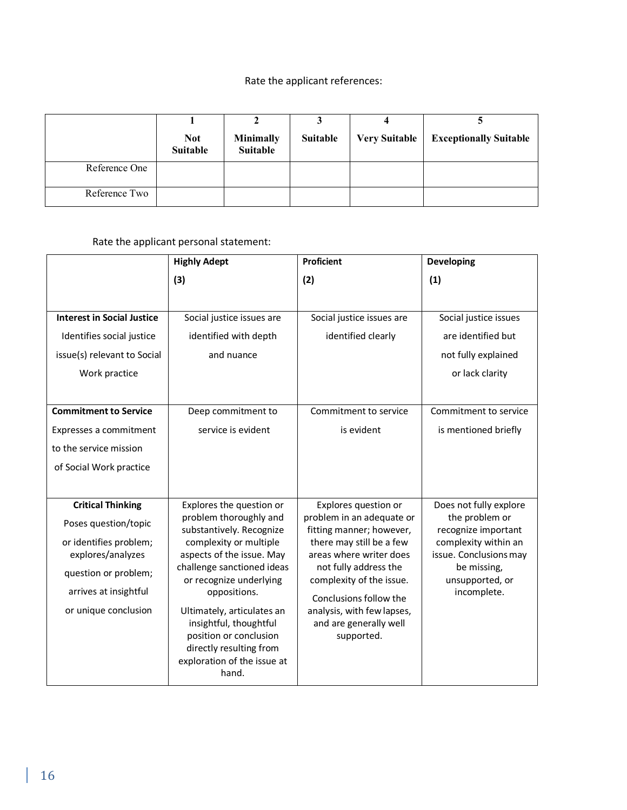## Rate the applicant references:

|               | <b>Not</b><br><b>Suitable</b> | <b>Minimally</b><br>Suitable | Suitable | <b>Very Suitable</b> | <b>Exceptionally Suitable</b> |
|---------------|-------------------------------|------------------------------|----------|----------------------|-------------------------------|
| Reference One |                               |                              |          |                      |                               |
| Reference Two |                               |                              |          |                      |                               |

## Rate the applicant personal statement:

|                                   | <b>Highly Adept</b>                                                                                                                               | Proficient                                                         | <b>Developing</b>                     |
|-----------------------------------|---------------------------------------------------------------------------------------------------------------------------------------------------|--------------------------------------------------------------------|---------------------------------------|
|                                   | (3)                                                                                                                                               |                                                                    | (1)                                   |
|                                   |                                                                                                                                                   |                                                                    |                                       |
| <b>Interest in Social Justice</b> | Social justice issues are                                                                                                                         | Social justice issues are                                          | Social justice issues                 |
| Identifies social justice         | identified with depth                                                                                                                             | identified clearly                                                 | are identified but                    |
| issue(s) relevant to Social       | and nuance                                                                                                                                        |                                                                    | not fully explained                   |
| Work practice                     |                                                                                                                                                   |                                                                    | or lack clarity                       |
|                                   |                                                                                                                                                   |                                                                    |                                       |
| <b>Commitment to Service</b>      | Deep commitment to                                                                                                                                | Commitment to service                                              | Commitment to service                 |
| Expresses a commitment            | service is evident                                                                                                                                | is evident                                                         | is mentioned briefly                  |
| to the service mission            |                                                                                                                                                   |                                                                    |                                       |
| of Social Work practice           |                                                                                                                                                   |                                                                    |                                       |
|                                   |                                                                                                                                                   |                                                                    |                                       |
| <b>Critical Thinking</b>          | Explores the question or                                                                                                                          | Explores question or                                               | Does not fully explore                |
| Poses question/topic              | problem thoroughly and<br>substantively. Recognize                                                                                                | problem in an adequate or<br>fitting manner; however,              | the problem or<br>recognize important |
| or identifies problem;            | complexity or multiple                                                                                                                            | there may still be a few                                           | complexity within an                  |
| explores/analyzes                 | aspects of the issue. May<br>challenge sanctioned ideas                                                                                           | areas where writer does<br>not fully address the                   | issue. Conclusions may<br>be missing, |
| question or problem;              | or recognize underlying                                                                                                                           | complexity of the issue.                                           | unsupported, or                       |
| arrives at insightful             | oppositions.                                                                                                                                      | Conclusions follow the                                             | incomplete.                           |
| or unique conclusion              | Ultimately, articulates an<br>insightful, thoughtful<br>position or conclusion<br>directly resulting from<br>exploration of the issue at<br>hand. | analysis, with few lapses,<br>and are generally well<br>supported. |                                       |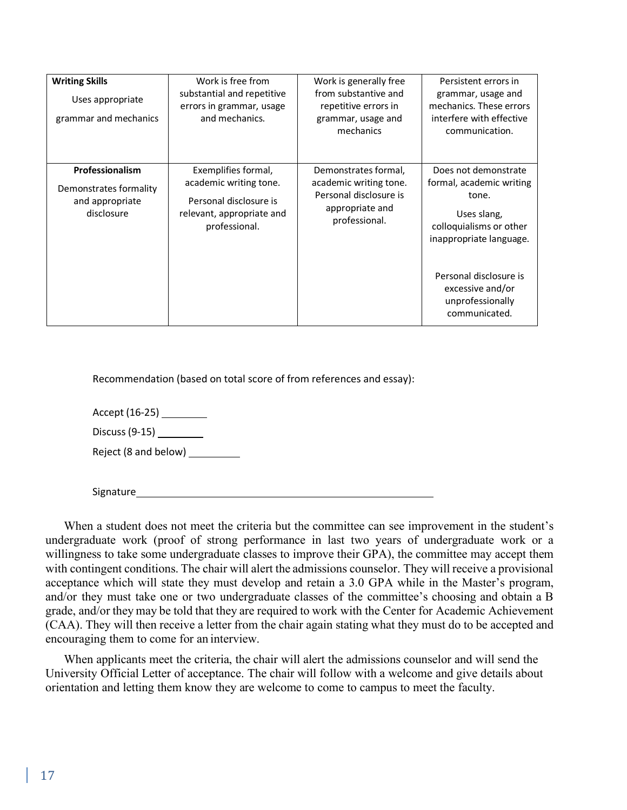| <b>Writing Skills</b><br>Uses appropriate<br>grammar and mechanics                | Work is free from<br>substantial and repetitive<br>errors in grammar, usage<br>and mechanics.                         | Work is generally free<br>from substantive and<br>repetitive errors in<br>grammar, usage and<br>mechanics    | Persistent errors in<br>grammar, usage and<br>mechanics. These errors<br>interfere with effective<br>communication.                                                                                               |
|-----------------------------------------------------------------------------------|-----------------------------------------------------------------------------------------------------------------------|--------------------------------------------------------------------------------------------------------------|-------------------------------------------------------------------------------------------------------------------------------------------------------------------------------------------------------------------|
| <b>Professionalism</b><br>Demonstrates formality<br>and appropriate<br>disclosure | Exemplifies formal,<br>academic writing tone.<br>Personal disclosure is<br>relevant, appropriate and<br>professional. | Demonstrates formal,<br>academic writing tone.<br>Personal disclosure is<br>appropriate and<br>professional. | Does not demonstrate<br>formal, academic writing<br>tone.<br>Uses slang,<br>colloquialisms or other<br>inappropriate language.<br>Personal disclosure is<br>excessive and/or<br>unprofessionally<br>communicated. |

Recommendation (based on total score of from references and essay):

Accept (16-25)

Discuss (9-15) \_\_\_\_\_\_\_\_\_\_

Reject (8 and below)

Signature

When a student does not meet the criteria but the committee can see improvement in the student's undergraduate work (proof of strong performance in last two years of undergraduate work or a willingness to take some undergraduate classes to improve their GPA), the committee may accept them with contingent conditions. The chair will alert the admissions counselor. They will receive a provisional acceptance which will state they must develop and retain a 3.0 GPA while in the Master's program, and/or they must take one or two undergraduate classes of the committee's choosing and obtain a B grade, and/or they may be told that they are required to work with the Center for Academic Achievement (CAA). They will then receive a letter from the chair again stating what they must do to be accepted and encouraging them to come for an interview.

When applicants meet the criteria, the chair will alert the admissions counselor and will send the University Official Letter of acceptance. The chair will follow with a welcome and give details about orientation and letting them know they are welcome to come to campus to meet the faculty.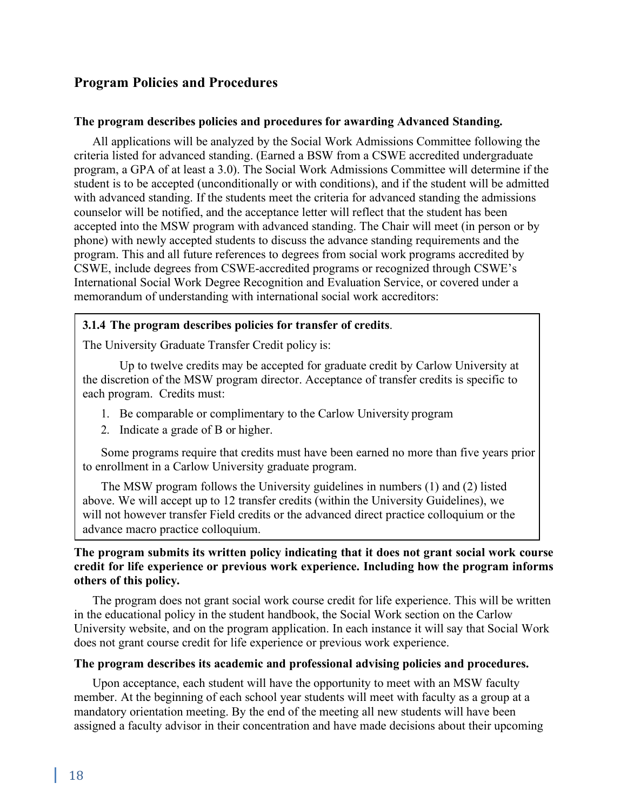## **Program Policies and Procedures**

#### **The program describes policies and procedures for awarding Advanced Standing.**

All applications will be analyzed by the Social Work Admissions Committee following the criteria listed for advanced standing. (Earned a BSW from a CSWE accredited undergraduate program, a GPA of at least a 3.0). The Social Work Admissions Committee will determine if the student is to be accepted (unconditionally or with conditions), and if the student will be admitted with advanced standing. If the students meet the criteria for advanced standing the admissions counselor will be notified, and the acceptance letter will reflect that the student has been accepted into the MSW program with advanced standing. The Chair will meet (in person or by phone) with newly accepted students to discuss the advance standing requirements and the program. This and all future references to degrees from social work programs accredited by CSWE, include degrees from CSWE-accredited programs or recognized through CSWE's International Social Work Degree Recognition and Evaluation Service, or covered under a memorandum of understanding with international social work accreditors:

#### **3.1.4 The program describes policies for transfer of credits**.

The University Graduate Transfer Credit policy is:

Up to twelve credits may be accepted for graduate credit by Carlow University at the discretion of the MSW program director. Acceptance of transfer credits is specific to each program. Credits must:

- 1. Be comparable or complimentary to the Carlow University program
- 2. Indicate a grade of B or higher.

Some programs require that credits must have been earned no more than five years prior to enrollment in a Carlow University graduate program.

The MSW program follows the University guidelines in numbers (1) and (2) listed above. We will accept up to 12 transfer credits (within the University Guidelines), we will not however transfer Field credits or the advanced direct practice colloquium or the advance macro practice colloquium.

#### **The program submits its written policy indicating that it does not grant social work course credit for life experience or previous work experience. Including how the program informs others of this policy.**

The program does not grant social work course credit for life experience. This will be written in the educational policy in the student handbook, the Social Work section on the Carlow University website, and on the program application. In each instance it will say that Social Work does not grant course credit for life experience or previous work experience.

#### **The program describes its academic and professional advising policies and procedures.**

Upon acceptance, each student will have the opportunity to meet with an MSW faculty member. At the beginning of each school year students will meet with faculty as a group at a mandatory orientation meeting. By the end of the meeting all new students will have been assigned a faculty advisor in their concentration and have made decisions about their upcoming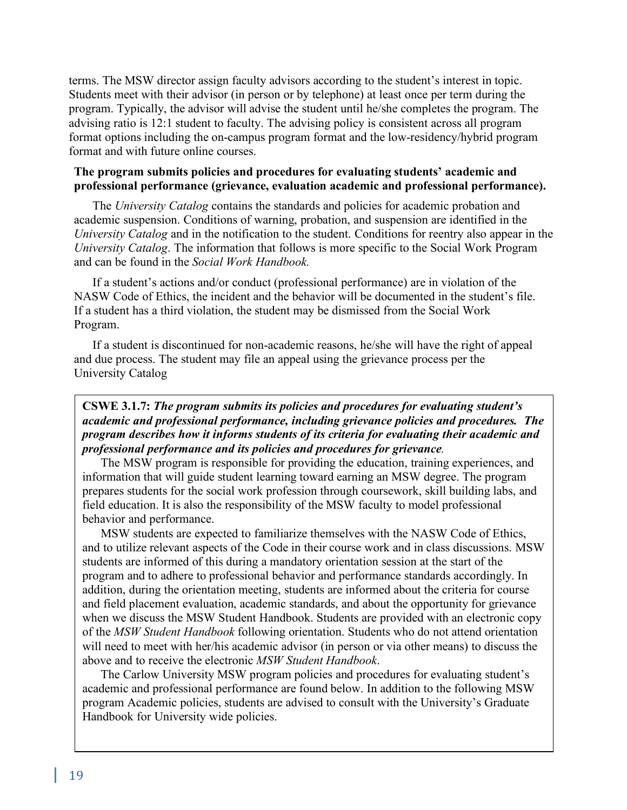terms. The MSW director assign faculty advisors according to the student's interest in topic. Students meet with their advisor (in person or by telephone) at least once per term during the program. Typically, the advisor will advise the student until he/she completes the program. The advising ratio is 12:1 student to faculty. The advising policy is consistent across all program format options including the on-campus program format and the low-residency/hybrid program format and with future online courses.

## **The program submits policies and procedures for evaluating students' academic and professional performance (grievance, evaluation academic and professional performance).**

The *University Catalog* contains the standards and policies for academic probation and academic suspension. Conditions of warning, probation, and suspension are identified in the *University Catalog* and in the notification to the student. Conditions for reentry also appear in the *University Catalog*. The information that follows is more specific to the Social Work Program and can be found in the *Social Work Handbook.*

If a student's actions and/or conduct (professional performance) are in violation of the NASW Code of Ethics, the incident and the behavior will be documented in the student's file. If a student has a third violation, the student may be dismissed from the Social Work Program.

If a student is discontinued for non-academic reasons, he/she will have the right of appeal and due process. The student may file an appeal using the grievance process per the University Catalog

## **CSWE 3.1.7:** *The program submits its policies and procedures for evaluating student's academic and professional performance, including grievance policies and procedures. The program describes how it informs students of its criteria for evaluating their academic and professional performance and its policies and procedures for grievance.*

The MSW program is responsible for providing the education, training experiences, and information that will guide student learning toward earning an MSW degree. The program prepares students for the social work profession through coursework, skill building labs, and field education. It is also the responsibility of the MSW faculty to model professional behavior and performance.

MSW students are expected to familiarize themselves with the NASW Code of Ethics, and to utilize relevant aspects of the Code in their course work and in class discussions. MSW students are informed of this during a mandatory orientation session at the start of the program and to adhere to professional behavior and performance standards accordingly. In addition, during the orientation meeting, students are informed about the criteria for course and field placement evaluation, academic standards, and about the opportunity for grievance when we discuss the MSW Student Handbook. Students are provided with an electronic copy of the *MSW Student Handbook* following orientation. Students who do not attend orientation will need to meet with her/his academic advisor (in person or via other means) to discuss the above and to receive the electronic *MSW Student Handbook*.

The Carlow University MSW program policies and procedures for evaluating student's academic and professional performance are found below. In addition to the following MSW program Academic policies, students are advised to consult with the University's Graduate Handbook for University wide policies.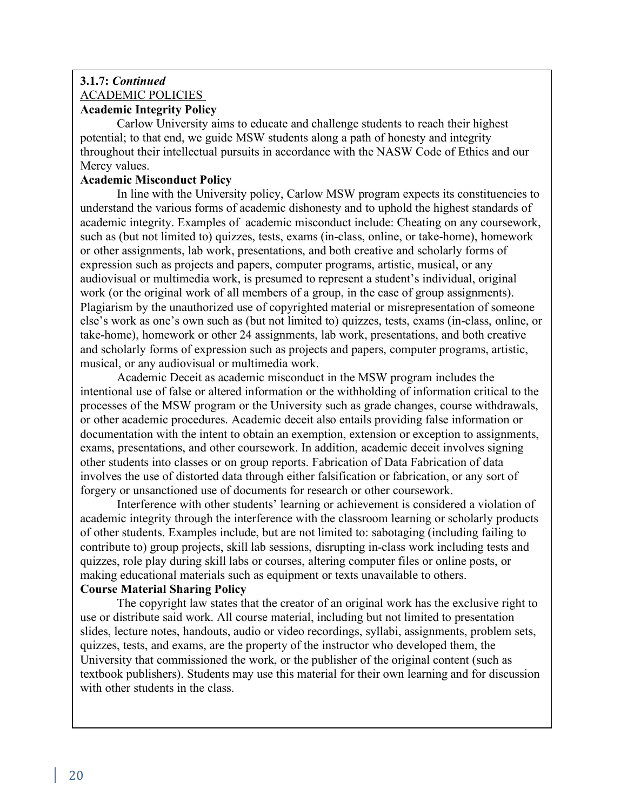## **3.1.7:** *Continued* ACADEMIC POLICIES **Academic Integrity Policy**

Carlow University aims to educate and challenge students to reach their highest potential; to that end, we guide MSW students along a path of honesty and integrity throughout their intellectual pursuits in accordance with the NASW Code of Ethics and our Mercy values.

## **Academic Misconduct Policy**

In line with the University policy, Carlow MSW program expects its constituencies to understand the various forms of academic dishonesty and to uphold the highest standards of academic integrity. Examples of academic misconduct include: Cheating on any coursework, such as (but not limited to) quizzes, tests, exams (in-class, online, or take-home), homework or other assignments, lab work, presentations, and both creative and scholarly forms of expression such as projects and papers, computer programs, artistic, musical, or any audiovisual or multimedia work, is presumed to represent a student's individual, original work (or the original work of all members of a group, in the case of group assignments). Plagiarism by the unauthorized use of copyrighted material or misrepresentation of someone else's work as one's own such as (but not limited to) quizzes, tests, exams (in-class, online, or take-home), homework or other 24 assignments, lab work, presentations, and both creative and scholarly forms of expression such as projects and papers, computer programs, artistic, musical, or any audiovisual or multimedia work.

Academic Deceit as academic misconduct in the MSW program includes the intentional use of false or altered information or the withholding of information critical to the processes of the MSW program or the University such as grade changes, course withdrawals, or other academic procedures. Academic deceit also entails providing false information or documentation with the intent to obtain an exemption, extension or exception to assignments, exams, presentations, and other coursework. In addition, academic deceit involves signing other students into classes or on group reports. Fabrication of Data Fabrication of data involves the use of distorted data through either falsification or fabrication, or any sort of forgery or unsanctioned use of documents for research or other coursework.

Interference with other students' learning or achievement is considered a violation of academic integrity through the interference with the classroom learning or scholarly products of other students. Examples include, but are not limited to: sabotaging (including failing to contribute to) group projects, skill lab sessions, disrupting in-class work including tests and quizzes, role play during skill labs or courses, altering computer files or online posts, or making educational materials such as equipment or texts unavailable to others.

## **Course Material Sharing Policy**

The copyright law states that the creator of an original work has the exclusive right to use or distribute said work. All course material, including but not limited to presentation slides, lecture notes, handouts, audio or video recordings, syllabi, assignments, problem sets, quizzes, tests, and exams, are the property of the instructor who developed them, the University that commissioned the work, or the publisher of the original content (such as textbook publishers). Students may use this material for their own learning and for discussion with other students in the class.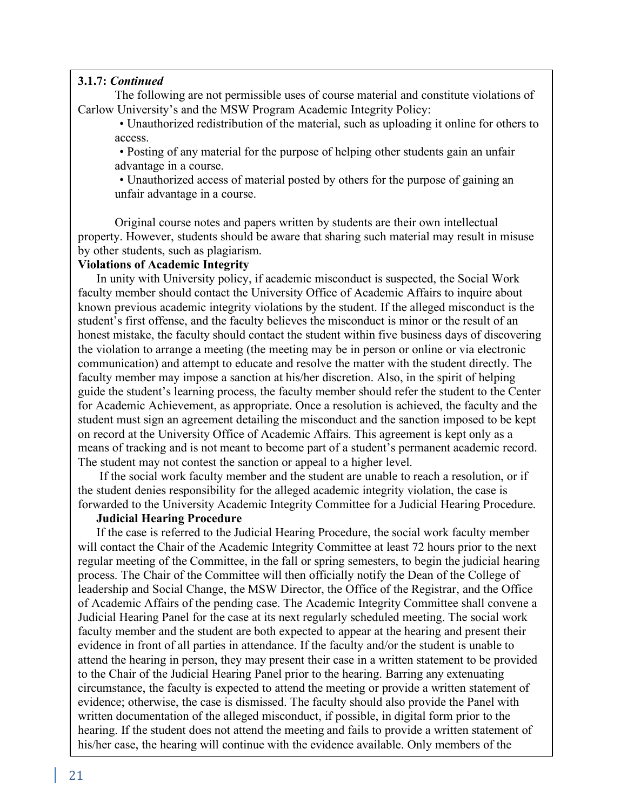The following are not permissible uses of course material and constitute violations of Carlow University's and the MSW Program Academic Integrity Policy:

• Unauthorized redistribution of the material, such as uploading it online for others to access.

• Posting of any material for the purpose of helping other students gain an unfair advantage in a course.

• Unauthorized access of material posted by others for the purpose of gaining an unfair advantage in a course.

Original course notes and papers written by students are their own intellectual property. However, students should be aware that sharing such material may result in misuse by other students, such as plagiarism.

#### **Violations of Academic Integrity**

In unity with University policy, if academic misconduct is suspected, the Social Work faculty member should contact the University Office of Academic Affairs to inquire about known previous academic integrity violations by the student. If the alleged misconduct is the student's first offense, and the faculty believes the misconduct is minor or the result of an honest mistake, the faculty should contact the student within five business days of discovering the violation to arrange a meeting (the meeting may be in person or online or via electronic communication) and attempt to educate and resolve the matter with the student directly. The faculty member may impose a sanction at his/her discretion. Also, in the spirit of helping guide the student's learning process, the faculty member should refer the student to the Center for Academic Achievement, as appropriate. Once a resolution is achieved, the faculty and the student must sign an agreement detailing the misconduct and the sanction imposed to be kept on record at the University Office of Academic Affairs. This agreement is kept only as a means of tracking and is not meant to become part of a student's permanent academic record. The student may not contest the sanction or appeal to a higher level.

If the social work faculty member and the student are unable to reach a resolution, or if the student denies responsibility for the alleged academic integrity violation, the case is forwarded to the University Academic Integrity Committee for a Judicial Hearing Procedure.

## **Judicial Hearing Procedure**

If the case is referred to the Judicial Hearing Procedure, the social work faculty member will contact the Chair of the Academic Integrity Committee at least 72 hours prior to the next regular meeting of the Committee, in the fall or spring semesters, to begin the judicial hearing process. The Chair of the Committee will then officially notify the Dean of the College of leadership and Social Change, the MSW Director, the Office of the Registrar, and the Office of Academic Affairs of the pending case. The Academic Integrity Committee shall convene a Judicial Hearing Panel for the case at its next regularly scheduled meeting. The social work faculty member and the student are both expected to appear at the hearing and present their evidence in front of all parties in attendance. If the faculty and/or the student is unable to attend the hearing in person, they may present their case in a written statement to be provided to the Chair of the Judicial Hearing Panel prior to the hearing. Barring any extenuating circumstance, the faculty is expected to attend the meeting or provide a written statement of evidence; otherwise, the case is dismissed. The faculty should also provide the Panel with written documentation of the alleged misconduct, if possible, in digital form prior to the hearing. If the student does not attend the meeting and fails to provide a written statement of his/her case, the hearing will continue with the evidence available. Only members of the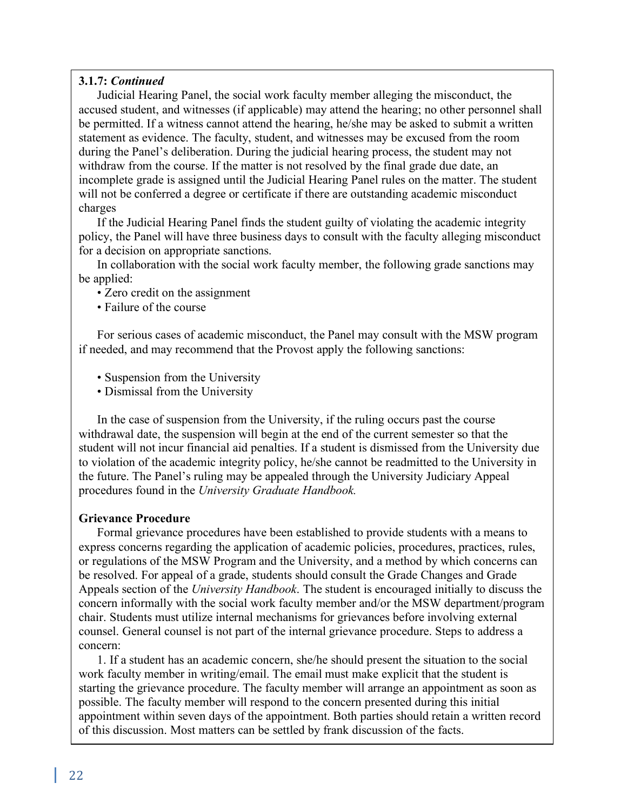Judicial Hearing Panel, the social work faculty member alleging the misconduct, the accused student, and witnesses (if applicable) may attend the hearing; no other personnel shall be permitted. If a witness cannot attend the hearing, he/she may be asked to submit a written statement as evidence. The faculty, student, and witnesses may be excused from the room during the Panel's deliberation. During the judicial hearing process, the student may not withdraw from the course. If the matter is not resolved by the final grade due date, an incomplete grade is assigned until the Judicial Hearing Panel rules on the matter. The student will not be conferred a degree or certificate if there are outstanding academic misconduct charges

If the Judicial Hearing Panel finds the student guilty of violating the academic integrity policy, the Panel will have three business days to consult with the faculty alleging misconduct for a decision on appropriate sanctions.

In collaboration with the social work faculty member, the following grade sanctions may be applied:

- Zero credit on the assignment
- Failure of the course

For serious cases of academic misconduct, the Panel may consult with the MSW program if needed, and may recommend that the Provost apply the following sanctions:

- Suspension from the University
- Dismissal from the University

In the case of suspension from the University, if the ruling occurs past the course withdrawal date, the suspension will begin at the end of the current semester so that the student will not incur financial aid penalties. If a student is dismissed from the University due to violation of the academic integrity policy, he/she cannot be readmitted to the University in the future. The Panel's ruling may be appealed through the University Judiciary Appeal procedures found in the *University Graduate Handbook.*

## **Grievance Procedure**

Formal grievance procedures have been established to provide students with a means to express concerns regarding the application of academic policies, procedures, practices, rules, or regulations of the MSW Program and the University, and a method by which concerns can be resolved. For appeal of a grade, students should consult the Grade Changes and Grade Appeals section of the *University Handbook*. The student is encouraged initially to discuss the concern informally with the social work faculty member and/or the MSW department/program chair. Students must utilize internal mechanisms for grievances before involving external counsel. General counsel is not part of the internal grievance procedure. Steps to address a concern:

1. If a student has an academic concern, she/he should present the situation to the social work faculty member in writing/email. The email must make explicit that the student is starting the grievance procedure. The faculty member will arrange an appointment as soon as possible. The faculty member will respond to the concern presented during this initial appointment within seven days of the appointment. Both parties should retain a written record of this discussion. Most matters can be settled by frank discussion of the facts.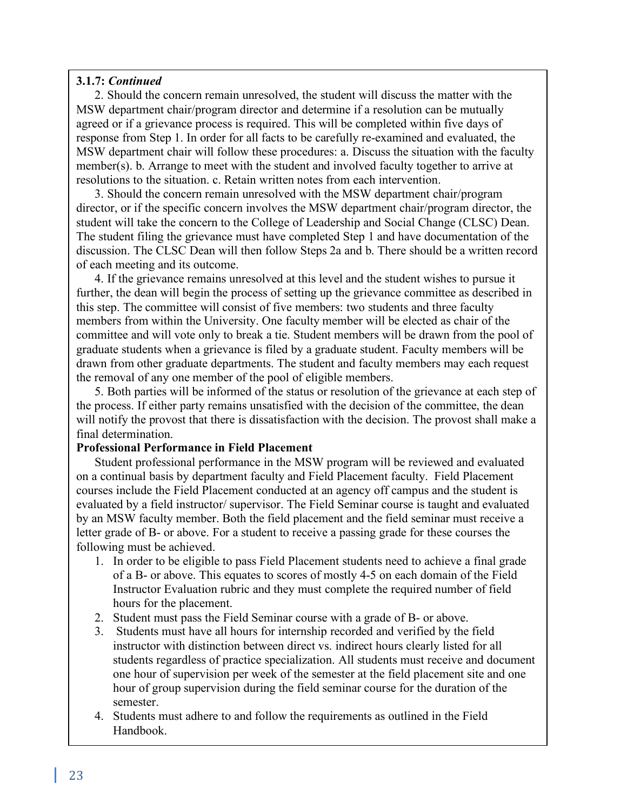2. Should the concern remain unresolved, the student will discuss the matter with the MSW department chair/program director and determine if a resolution can be mutually agreed or if a grievance process is required. This will be completed within five days of response from Step 1. In order for all facts to be carefully re-examined and evaluated, the MSW department chair will follow these procedures: a. Discuss the situation with the faculty member(s). b. Arrange to meet with the student and involved faculty together to arrive at resolutions to the situation. c. Retain written notes from each intervention.

3. Should the concern remain unresolved with the MSW department chair/program director, or if the specific concern involves the MSW department chair/program director, the student will take the concern to the College of Leadership and Social Change (CLSC) Dean. The student filing the grievance must have completed Step 1 and have documentation of the discussion. The CLSC Dean will then follow Steps 2a and b. There should be a written record of each meeting and its outcome.

4. If the grievance remains unresolved at this level and the student wishes to pursue it further, the dean will begin the process of setting up the grievance committee as described in this step. The committee will consist of five members: two students and three faculty members from within the University. One faculty member will be elected as chair of the committee and will vote only to break a tie. Student members will be drawn from the pool of graduate students when a grievance is filed by a graduate student. Faculty members will be drawn from other graduate departments. The student and faculty members may each request the removal of any one member of the pool of eligible members.

5. Both parties will be informed of the status or resolution of the grievance at each step of the process. If either party remains unsatisfied with the decision of the committee, the dean will notify the provost that there is dissatisfaction with the decision. The provost shall make a final determination.

## **Professional Performance in Field Placement**

Student professional performance in the MSW program will be reviewed and evaluated on a continual basis by department faculty and Field Placement faculty. Field Placement courses include the Field Placement conducted at an agency off campus and the student is evaluated by a field instructor/ supervisor. The Field Seminar course is taught and evaluated by an MSW faculty member. Both the field placement and the field seminar must receive a letter grade of B- or above. For a student to receive a passing grade for these courses the following must be achieved.

- 1. In order to be eligible to pass Field Placement students need to achieve a final grade of a B- or above. This equates to scores of mostly 4-5 on each domain of the Field Instructor Evaluation rubric and they must complete the required number of field hours for the placement.
- 2. Student must pass the Field Seminar course with a grade of B- or above.
- 3. Students must have all hours for internship recorded and verified by the field instructor with distinction between direct vs. indirect hours clearly listed for all students regardless of practice specialization. All students must receive and document one hour of supervision per week of the semester at the field placement site and one hour of group supervision during the field seminar course for the duration of the semester.
- 4. Students must adhere to and follow the requirements as outlined in the Field Handbook.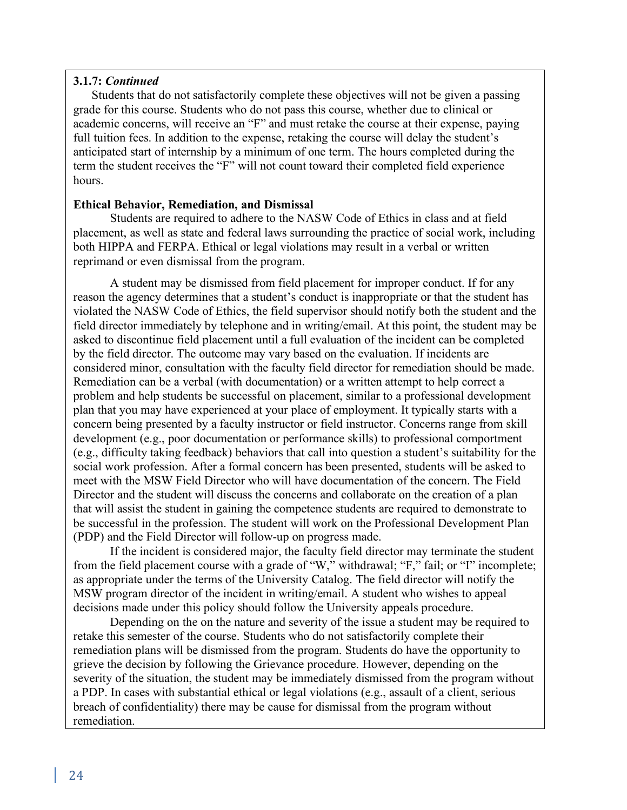Students that do not satisfactorily complete these objectives will not be given a passing grade for this course. Students who do not pass this course, whether due to clinical or academic concerns, will receive an "F" and must retake the course at their expense, paying full tuition fees. In addition to the expense, retaking the course will delay the student's anticipated start of internship by a minimum of one term. The hours completed during the term the student receives the "F" will not count toward their completed field experience hours.

## **Ethical Behavior, Remediation, and Dismissal**

Students are required to adhere to the NASW Code of Ethics in class and at field placement, as well as state and federal laws surrounding the practice of social work, including both HIPPA and FERPA. Ethical or legal violations may result in a verbal or written reprimand or even dismissal from the program.

A student may be dismissed from field placement for improper conduct. If for any reason the agency determines that a student's conduct is inappropriate or that the student has violated the NASW Code of Ethics, the field supervisor should notify both the student and the field director immediately by telephone and in writing/email. At this point, the student may be asked to discontinue field placement until a full evaluation of the incident can be completed by the field director. The outcome may vary based on the evaluation. If incidents are considered minor, consultation with the faculty field director for remediation should be made. Remediation can be a verbal (with documentation) or a written attempt to help correct a problem and help students be successful on placement, similar to a professional development plan that you may have experienced at your place of employment. It typically starts with a concern being presented by a faculty instructor or field instructor. Concerns range from skill development (e.g., poor documentation or performance skills) to professional comportment (e.g., difficulty taking feedback) behaviors that call into question a student's suitability for the social work profession. After a formal concern has been presented, students will be asked to meet with the MSW Field Director who will have documentation of the concern. The Field Director and the student will discuss the concerns and collaborate on the creation of a plan that will assist the student in gaining the competence students are required to demonstrate to be successful in the profession. The student will work on the Professional Development Plan (PDP) and the Field Director will follow-up on progress made.

If the incident is considered major, the faculty field director may terminate the student from the field placement course with a grade of "W," withdrawal; "F," fail; or "I" incomplete; as appropriate under the terms of the University Catalog. The field director will notify the MSW program director of the incident in writing/email. A student who wishes to appeal decisions made under this policy should follow the University appeals procedure.

Depending on the on the nature and severity of the issue a student may be required to retake this semester of the course. Students who do not satisfactorily complete their remediation plans will be dismissed from the program. Students do have the opportunity to grieve the decision by following the Grievance procedure. However, depending on the severity of the situation, the student may be immediately dismissed from the program without a PDP. In cases with substantial ethical or legal violations (e.g., assault of a client, serious breach of confidentiality) there may be cause for dismissal from the program without remediation.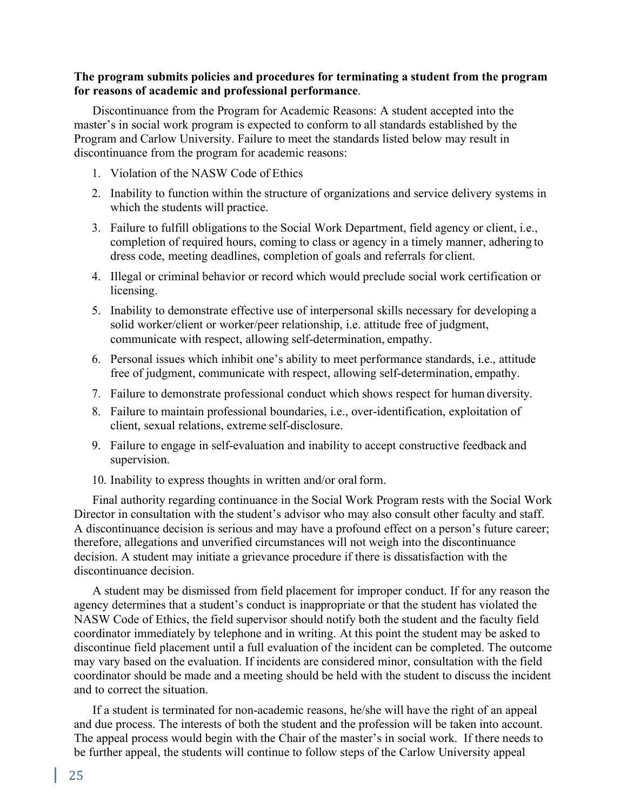#### **The program submits policies and procedures for terminating a student from the program for reasons of academic and professional performance**.

Discontinuance from the Program for Academic Reasons: A student accepted into the master's in social work program is expected to conform to all standards established by the Program and Carlow University. Failure to meet the standards listed below may result in discontinuance from the program for academic reasons:

- 1. Violation of the NASW Code of Ethics
- 2. Inability to function within the structure of organizations and service delivery systems in which the students will practice.
- 3. Failure to fulfill obligations to the Social Work Department, field agency or client, i.e., completion of required hours, coming to class or agency in a timely manner, adhering to dress code, meeting deadlines, completion of goals and referrals for client.
- 4. Illegal or criminal behavior or record which would preclude social work certification or licensing.
- 5. Inability to demonstrate effective use of interpersonal skills necessary for developing a solid worker/client or worker/peer relationship, i.e. attitude free of judgment, communicate with respect, allowing self-determination, empathy.
- 6. Personal issues which inhibit one's ability to meet performance standards, i.e., attitude free of judgment, communicate with respect, allowing self-determination, empathy.
- 7. Failure to demonstrate professional conduct which shows respect for human diversity.
- 8. Failure to maintain professional boundaries, i.e., over-identification, exploitation of client, sexual relations, extreme self-disclosure.
- 9. Failure to engage in self-evaluation and inability to accept constructive feedback and supervision.
- 10. Inability to express thoughts in written and/or oral form.

Final authority regarding continuance in the Social Work Program rests with the Social Work Director in consultation with the student's advisor who may also consult other faculty and staff. A discontinuance decision is serious and may have a profound effect on a person's future career; therefore, allegations and unverified circumstances will not weigh into the discontinuance decision. A student may initiate a grievance procedure if there is dissatisfaction with the discontinuance decision.

A student may be dismissed from field placement for improper conduct. If for any reason the agency determines that a student's conduct is inappropriate or that the student has violated the NASW Code of Ethics, the field supervisor should notify both the student and the faculty field coordinator immediately by telephone and in writing. At this point the student may be asked to discontinue field placement until a full evaluation of the incident can be completed. The outcome may vary based on the evaluation. If incidents are considered minor, consultation with the field coordinator should be made and a meeting should be held with the student to discuss the incident and to correct the situation.

If a student is terminated for non-academic reasons, he/she will have the right of an appeal and due process. The interests of both the student and the profession will be taken into account. The appeal process would begin with the Chair of the master's in social work. If there needs to be further appeal, the students will continue to follow steps of the Carlow University appeal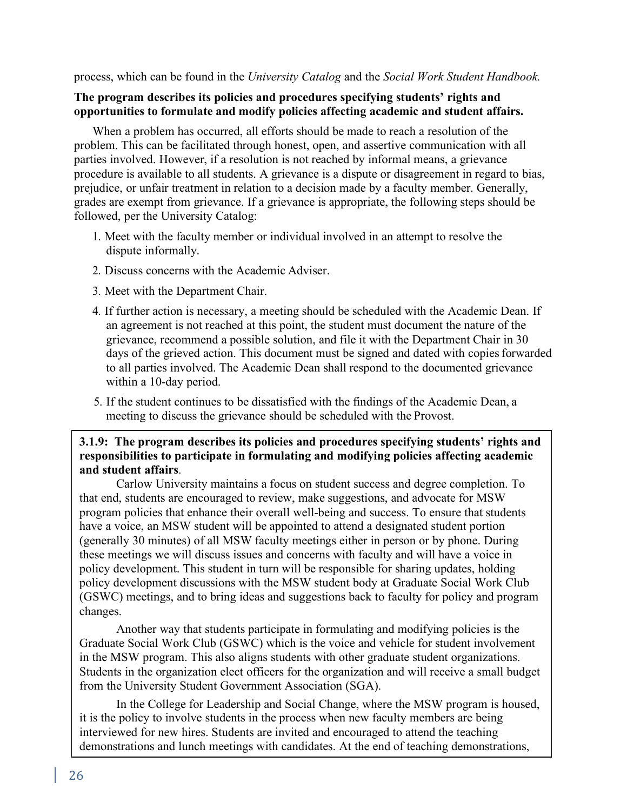process, which can be found in the *University Catalog* and the *Social Work Student Handbook.*

## **The program describes its policies and procedures specifying students' rights and opportunities to formulate and modify policies affecting academic and student affairs.**

When a problem has occurred, all efforts should be made to reach a resolution of the problem. This can be facilitated through honest, open, and assertive communication with all parties involved. However, if a resolution is not reached by informal means, a grievance procedure is available to all students. A grievance is a dispute or disagreement in regard to bias, prejudice, or unfair treatment in relation to a decision made by a faculty member. Generally, grades are exempt from grievance. If a grievance is appropriate, the following steps should be followed, per the University Catalog:

- 1. Meet with the faculty member or individual involved in an attempt to resolve the dispute informally.
- 2. Discuss concerns with the Academic Adviser.
- 3. Meet with the Department Chair.
- 4. If further action is necessary, a meeting should be scheduled with the Academic Dean. If an agreement is not reached at this point, the student must document the nature of the grievance, recommend a possible solution, and file it with the Department Chair in 30 days of the grieved action. This document must be signed and dated with copies forwarded to all parties involved. The Academic Dean shall respond to the documented grievance within a 10-day period.
- 5. If the student continues to be dissatisfied with the findings of the Academic Dean, a meeting to discuss the grievance should be scheduled with the Provost.

## **3.1.9: The program describes its policies and procedures specifying students' rights and responsibilities to participate in formulating and modifying policies affecting academic and student affairs**.

Carlow University maintains a focus on student success and degree completion. To that end, students are encouraged to review, make suggestions, and advocate for MSW program policies that enhance their overall well-being and success. To ensure that students have a voice, an MSW student will be appointed to attend a designated student portion (generally 30 minutes) of all MSW faculty meetings either in person or by phone. During these meetings we will discuss issues and concerns with faculty and will have a voice in policy development. This student in turn will be responsible for sharing updates, holding policy development discussions with the MSW student body at Graduate Social Work Club (GSWC) meetings, and to bring ideas and suggestions back to faculty for policy and program changes.

Another way that students participate in formulating and modifying policies is the Graduate Social Work Club (GSWC) which is the voice and vehicle for student involvement in the MSW program. This also aligns students with other graduate student organizations. Students in the organization elect officers for the organization and will receive a small budget from the University Student Government Association (SGA).

In the College for Leadership and Social Change, where the MSW program is housed, it is the policy to involve students in the process when new faculty members are being interviewed for new hires. Students are invited and encouraged to attend the teaching demonstrations and lunch meetings with candidates. At the end of teaching demonstrations,

students complete the same rating forms used by faculty to evaluate the candidates. Students the candidates. S